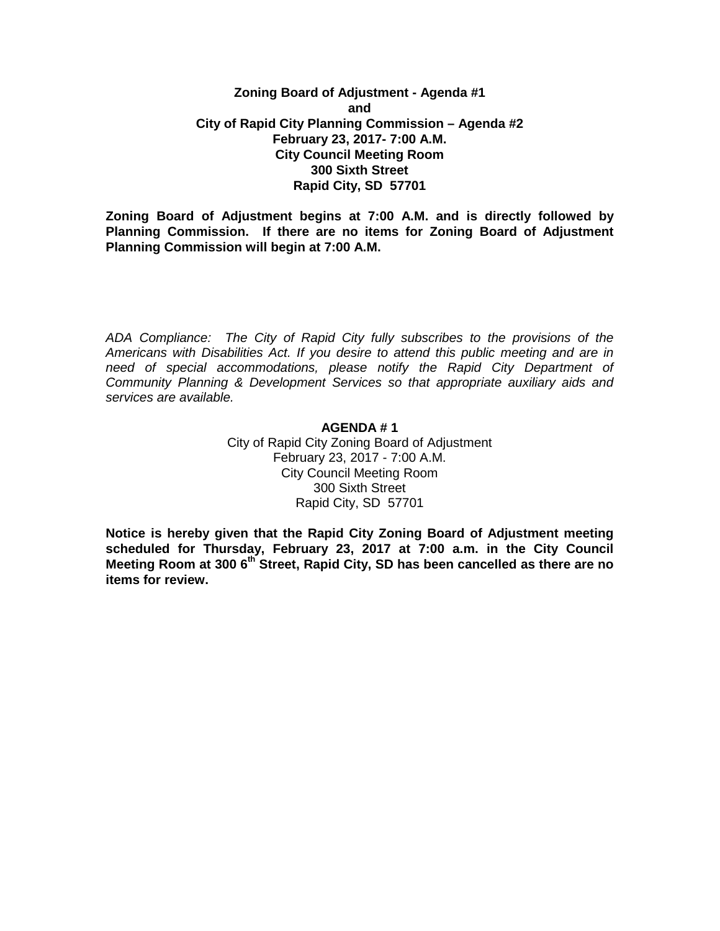# **Zoning Board of Adjustment - Agenda #1 and City of Rapid City Planning Commission – Agenda #2 February 23, 2017- 7:00 A.M. City Council Meeting Room 300 Sixth Street Rapid City, SD 57701**

**Zoning Board of Adjustment begins at 7:00 A.M. and is directly followed by Planning Commission. If there are no items for Zoning Board of Adjustment Planning Commission will begin at 7:00 A.M.**

*ADA Compliance: The City of Rapid City fully subscribes to the provisions of the Americans with Disabilities Act. If you desire to attend this public meeting and are in need of special accommodations, please notify the Rapid City Department of Community Planning & Development Services so that appropriate auxiliary aids and services are available.*

### **AGENDA # 1**

City of Rapid City Zoning Board of Adjustment February 23, 2017 - 7:00 A.M. City Council Meeting Room 300 Sixth Street Rapid City, SD 57701

**Notice is hereby given that the Rapid City Zoning Board of Adjustment meeting scheduled for Thursday, February 23, 2017 at 7:00 a.m. in the City Council Meeting Room at 300 6th Street, Rapid City, SD has been cancelled as there are no items for review.**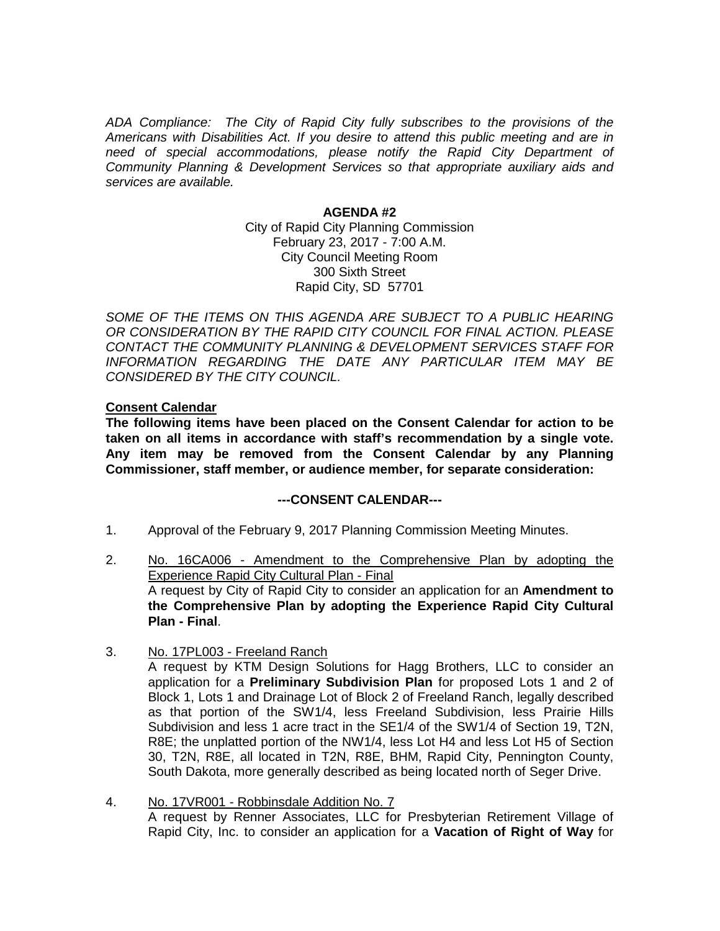*ADA Compliance: The City of Rapid City fully subscribes to the provisions of the Americans with Disabilities Act. If you desire to attend this public meeting and are in need of special accommodations, please notify the Rapid City Department of Community Planning & Development Services so that appropriate auxiliary aids and services are available.*

#### **AGENDA #2**

City of Rapid City Planning Commission February 23, 2017 - 7:00 A.M. City Council Meeting Room 300 Sixth Street Rapid City, SD 57701

SOME OF THE ITEMS ON THIS AGENDA ARE SUBJECT TO A PUBLIC HEARING *OR CONSIDERATION BY THE RAPID CITY COUNCIL FOR FINAL ACTION. PLEASE CONTACT THE COMMUNITY PLANNING & DEVELOPMENT SERVICES STAFF FOR INFORMATION REGARDING THE DATE ANY PARTICULAR ITEM MAY BE CONSIDERED BY THE CITY COUNCIL.*

### **Consent Calendar**

**The following items have been placed on the Consent Calendar for action to be taken on all items in accordance with staff's recommendation by a single vote. Any item may be removed from the Consent Calendar by any Planning Commissioner, staff member, or audience member, for separate consideration:**

# **---CONSENT CALENDAR---**

- 1. Approval of the February 9, 2017 Planning Commission Meeting Minutes.
- 2. No. 16CA006 Amendment to the Comprehensive Plan by adopting the **Experience Rapid City Cultural Plan - Final** A request by City of Rapid City to consider an application for an **Amendment to the Comprehensive Plan by adopting the Experience Rapid City Cultural Plan - Final**.
- 3. No. 17PL003 Freeland Ranch A request by KTM Design Solutions for Hagg Brothers, LLC to consider an application for a **Preliminary Subdivision Plan** for proposed Lots 1 and 2 of Block 1, Lots 1 and Drainage Lot of Block 2 of Freeland Ranch, legally described as that portion of the SW1/4, less Freeland Subdivision, less Prairie Hills Subdivision and less 1 acre tract in the SE1/4 of the SW1/4 of Section 19, T2N, R8E; the unplatted portion of the NW1/4, less Lot H4 and less Lot H5 of Section 30, T2N, R8E, all located in T2N, R8E, BHM, Rapid City, Pennington County, South Dakota, more generally described as being located north of Seger Drive.
- 4. No. 17VR001 Robbinsdale Addition No. 7 A request by Renner Associates, LLC for Presbyterian Retirement Village of Rapid City, Inc. to consider an application for a **Vacation of Right of Way** for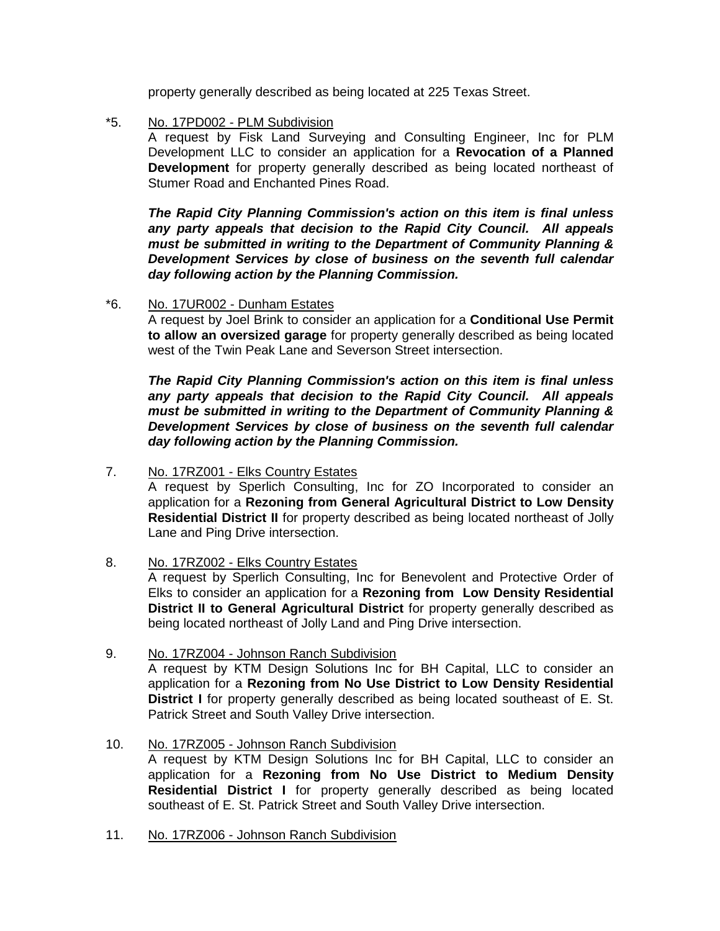property generally described as being located at 225 Texas Street.

\*5. No. 17PD002 - PLM Subdivision

A request by Fisk Land Surveying and Consulting Engineer, Inc for PLM Development LLC to consider an application for a **Revocation of a Planned Development** for property generally described as being located northeast of Stumer Road and Enchanted Pines Road.

*The Rapid City Planning Commission's action on this item is final unless any party appeals that decision to the Rapid City Council. All appeals must be submitted in writing to the Department of Community Planning & Development Services by close of business on the seventh full calendar day following action by the Planning Commission.*

# \*6. No. 17UR002 - Dunham Estates

A request by Joel Brink to consider an application for a **Conditional Use Permit to allow an oversized garage** for property generally described as being located west of the Twin Peak Lane and Severson Street intersection.

*The Rapid City Planning Commission's action on this item is final unless any party appeals that decision to the Rapid City Council. All appeals must be submitted in writing to the Department of Community Planning & Development Services by close of business on the seventh full calendar day following action by the Planning Commission.*

7. No. 17RZ001 - Elks Country Estates

A request by Sperlich Consulting, Inc for ZO Incorporated to consider an application for a **Rezoning from General Agricultural District to Low Density Residential District II** for property described as being located northeast of Jolly Lane and Ping Drive intersection.

8. No. 17RZ002 - Elks Country Estates

A request by Sperlich Consulting, Inc for Benevolent and Protective Order of Elks to consider an application for a **Rezoning from Low Density Residential District II to General Agricultural District** for property generally described as being located northeast of Jolly Land and Ping Drive intersection.

- 9. No. 17RZ004 Johnson Ranch Subdivision A request by KTM Design Solutions Inc for BH Capital, LLC to consider an application for a **Rezoning from No Use District to Low Density Residential District I** for property generally described as being located southeast of E. St. Patrick Street and South Valley Drive intersection.
- 10. No. 17RZ005 Johnson Ranch Subdivision

A request by KTM Design Solutions Inc for BH Capital, LLC to consider an application for a **Rezoning from No Use District to Medium Density Residential District I** for property generally described as being located southeast of E. St. Patrick Street and South Valley Drive intersection.

11. No. 17RZ006 - Johnson Ranch Subdivision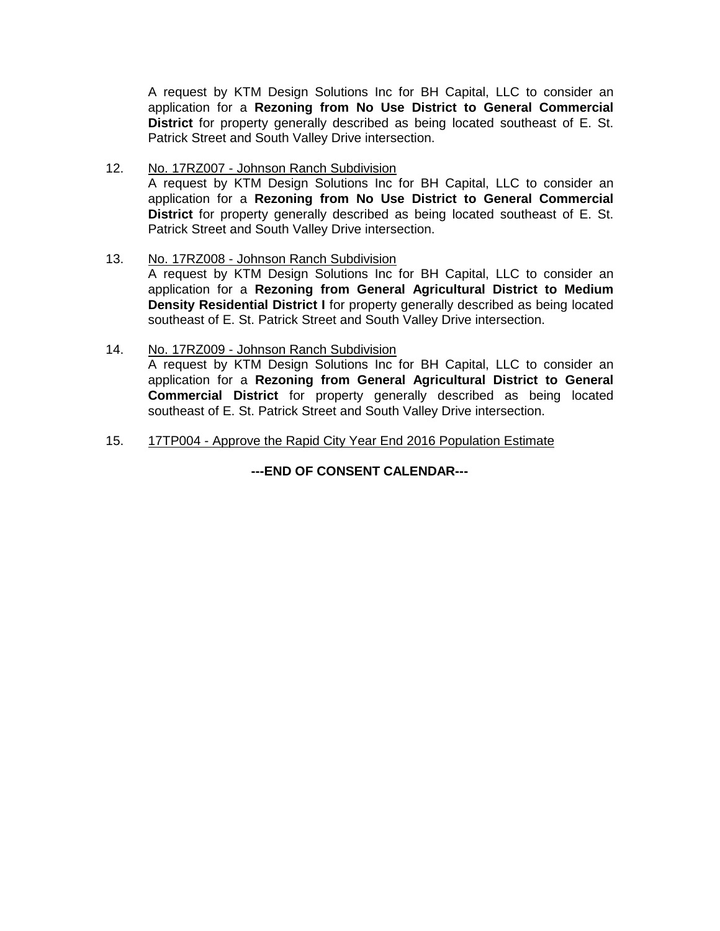A request by KTM Design Solutions Inc for BH Capital, LLC to consider an application for a **Rezoning from No Use District to General Commercial District** for property generally described as being located southeast of E. St. Patrick Street and South Valley Drive intersection.

12. No. 17RZ007 - Johnson Ranch Subdivision A request by KTM Design Solutions Inc for BH Capital, LLC to consider an application for a **Rezoning from No Use District to General Commercial District** for property generally described as being located southeast of E. St. Patrick Street and South Valley Drive intersection.

### 13. No. 17RZ008 - Johnson Ranch Subdivision

A request by KTM Design Solutions Inc for BH Capital, LLC to consider an application for a **Rezoning from General Agricultural District to Medium Density Residential District I** for property generally described as being located southeast of E. St. Patrick Street and South Valley Drive intersection.

### 14. No. 17RZ009 - Johnson Ranch Subdivision

A request by KTM Design Solutions Inc for BH Capital, LLC to consider an application for a **Rezoning from General Agricultural District to General Commercial District** for property generally described as being located southeast of E. St. Patrick Street and South Valley Drive intersection.

15. 17TP004 - Approve the Rapid City Year End 2016 Population Estimate

**---END OF CONSENT CALENDAR---**